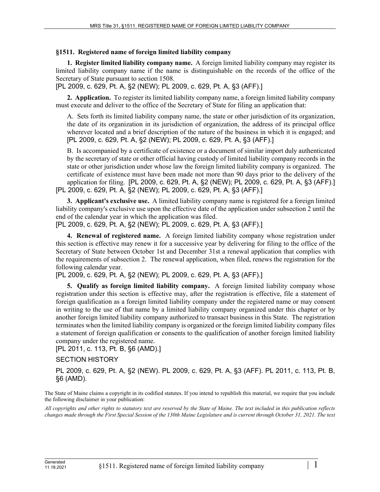## **§1511. Registered name of foreign limited liability company**

**1. Register limited liability company name.** A foreign limited liability company may register its limited liability company name if the name is distinguishable on the records of the office of the Secretary of State pursuant to section 1508.

[PL 2009, c. 629, Pt. A, §2 (NEW); PL 2009, c. 629, Pt. A, §3 (AFF).]

**2. Application.** To register its limited liability company name, a foreign limited liability company must execute and deliver to the office of the Secretary of State for filing an application that:

A. Sets forth its limited liability company name, the state or other jurisdiction of its organization, the date of its organization in its jurisdiction of organization, the address of its principal office wherever located and a brief description of the nature of the business in which it is engaged; and [PL 2009, c. 629, Pt. A, §2 (NEW); PL 2009, c. 629, Pt. A, §3 (AFF).]

B. Is accompanied by a certificate of existence or a document of similar import duly authenticated by the secretary of state or other official having custody of limited liability company records in the state or other jurisdiction under whose law the foreign limited liability company is organized. The certificate of existence must have been made not more than 90 days prior to the delivery of the application for filing. [PL 2009, c. 629, Pt. A, §2 (NEW); PL 2009, c. 629, Pt. A, §3 (AFF).] [PL 2009, c. 629, Pt. A, §2 (NEW); PL 2009, c. 629, Pt. A, §3 (AFF).]

**3. Applicant's exclusive use.** A limited liability company name is registered for a foreign limited liability company's exclusive use upon the effective date of the application under subsection 2 until the end of the calendar year in which the application was filed.

[PL 2009, c. 629, Pt. A, §2 (NEW); PL 2009, c. 629, Pt. A, §3 (AFF).]

**4. Renewal of registered name.** A foreign limited liability company whose registration under this section is effective may renew it for a successive year by delivering for filing to the office of the Secretary of State between October 1st and December 31st a renewal application that complies with the requirements of subsection 2. The renewal application, when filed, renews the registration for the following calendar year.

[PL 2009, c. 629, Pt. A, §2 (NEW); PL 2009, c. 629, Pt. A, §3 (AFF).]

**5. Qualify as foreign limited liability company.** A foreign limited liability company whose registration under this section is effective may, after the registration is effective, file a statement of foreign qualification as a foreign limited liability company under the registered name or may consent in writing to the use of that name by a limited liability company organized under this chapter or by another foreign limited liability company authorized to transact business in this State. The registration terminates when the limited liability company is organized or the foreign limited liability company files a statement of foreign qualification or consents to the qualification of another foreign limited liability company under the registered name.

[PL 2011, c. 113, Pt. B, §6 (AMD).]

## SECTION HISTORY

PL 2009, c. 629, Pt. A, §2 (NEW). PL 2009, c. 629, Pt. A, §3 (AFF). PL 2011, c. 113, Pt. B, §6 (AMD).

The State of Maine claims a copyright in its codified statutes. If you intend to republish this material, we require that you include the following disclaimer in your publication:

*All copyrights and other rights to statutory text are reserved by the State of Maine. The text included in this publication reflects changes made through the First Special Session of the 130th Maine Legislature and is current through October 31, 2021. The text*